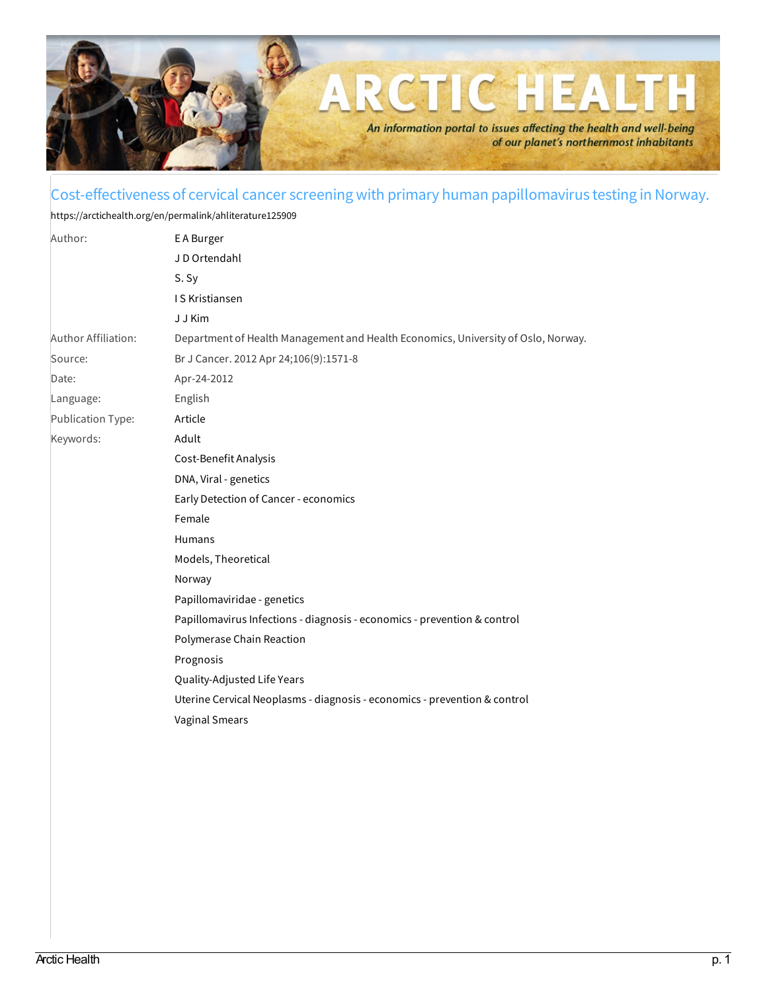

## Cost-effectiveness of cervical cancer screening with primary human papillomavirus testing in Norway.

<https://arctichealth.org/en/permalink/ahliterature125909>

| Author:             | E A Burger                                                                        |
|---------------------|-----------------------------------------------------------------------------------|
|                     | J D Ortendahl                                                                     |
|                     | S. Sy                                                                             |
|                     | <b>IS Kristiansen</b>                                                             |
|                     | J J Kim                                                                           |
| Author Affiliation: | Department of Health Management and Health Economics, University of Oslo, Norway. |
| Source:             | Br J Cancer. 2012 Apr 24;106(9):1571-8                                            |
| Date:               | Apr-24-2012                                                                       |
| Language:           | English                                                                           |
| Publication Type:   | Article                                                                           |
| Keywords:           | Adult                                                                             |
|                     | Cost-Benefit Analysis                                                             |
|                     | DNA, Viral - genetics                                                             |
|                     | Early Detection of Cancer - economics                                             |
|                     | Female                                                                            |
|                     | Humans                                                                            |
|                     | Models, Theoretical                                                               |
|                     | Norway                                                                            |
|                     | Papillomaviridae - genetics                                                       |
|                     | Papillomavirus Infections - diagnosis - economics - prevention & control          |
|                     | Polymerase Chain Reaction                                                         |
|                     | Prognosis                                                                         |
|                     | Quality-Adjusted Life Years                                                       |
|                     | Uterine Cervical Neoplasms - diagnosis - economics - prevention & control         |
|                     | <b>Vaginal Smears</b>                                                             |
|                     |                                                                                   |